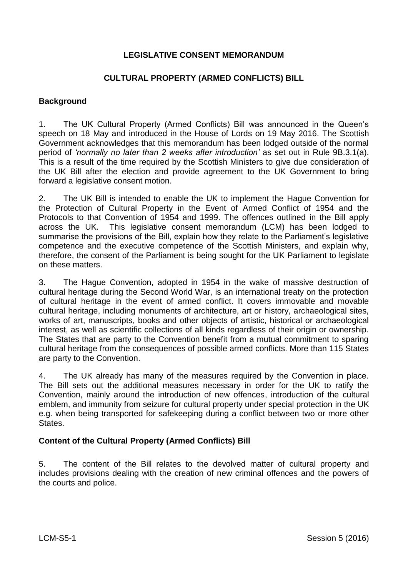# **LEGISLATIVE CONSENT MEMORANDUM**

# **CULTURAL PROPERTY (ARMED CONFLICTS) BILL**

#### **Background**

1. The UK Cultural Property (Armed Conflicts) Bill was announced in the Queen's speech on 18 May and introduced in the House of Lords on 19 May 2016. The Scottish Government acknowledges that this memorandum has been lodged outside of the normal period of *'normally no later than 2 weeks after introduction'* as set out in Rule 9B.3.1(a). This is a result of the time required by the Scottish Ministers to give due consideration of the UK Bill after the election and provide agreement to the UK Government to bring forward a legislative consent motion.

2. The UK Bill is intended to enable the UK to implement the Hague Convention for the Protection of Cultural Property in the Event of Armed Conflict of 1954 and the Protocols to that Convention of 1954 and 1999. The offences outlined in the Bill apply across the UK. This legislative consent memorandum (LCM) has been lodged to summarise the provisions of the Bill, explain how they relate to the Parliament's legislative competence and the executive competence of the Scottish Ministers, and explain why, therefore, the consent of the Parliament is being sought for the UK Parliament to legislate on these matters.

3. The Hague Convention, adopted in 1954 in the wake of massive destruction of cultural heritage during the Second World War, is an international treaty on the protection of cultural heritage in the event of armed conflict. It covers immovable and movable cultural heritage, including monuments of architecture, art or history, archaeological sites, works of art, manuscripts, books and other objects of artistic, historical or archaeological interest, as well as scientific collections of all kinds regardless of their origin or ownership. The States that are party to the Convention benefit from a mutual commitment to sparing cultural heritage from the consequences of possible armed conflicts. More than 115 States are party to the Convention.

4. The UK already has many of the measures required by the Convention in place. The Bill sets out the additional measures necessary in order for the UK to ratify the Convention, mainly around the introduction of new offences, introduction of the cultural emblem, and immunity from seizure for cultural property under special protection in the UK e.g. when being transported for safekeeping during a conflict between two or more other States.

#### **Content of the Cultural Property (Armed Conflicts) Bill**

5. The content of the Bill relates to the devolved matter of cultural property and includes provisions dealing with the creation of new criminal offences and the powers of the courts and police.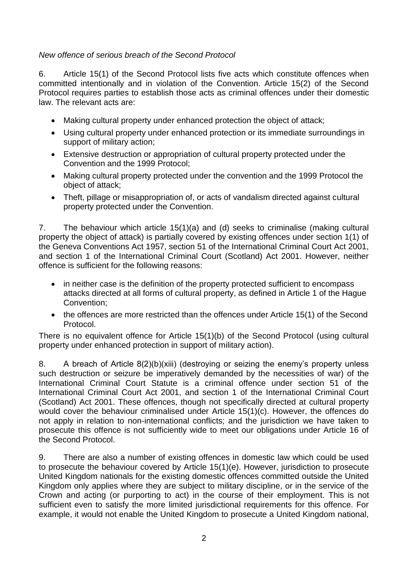# *New offence of serious breach of the Second Protocol*

6. Article 15(1) of the Second Protocol lists five acts which constitute offences when committed intentionally and in violation of the Convention. Article 15(2) of the Second Protocol requires parties to establish those acts as criminal offences under their domestic law. The relevant acts are:

- Making cultural property under enhanced protection the object of attack;
- Using cultural property under enhanced protection or its immediate surroundings in support of military action;
- Extensive destruction or appropriation of cultural property protected under the Convention and the 1999 Protocol;
- Making cultural property protected under the convention and the 1999 Protocol the object of attack;
- Theft, pillage or misappropriation of, or acts of vandalism directed against cultural property protected under the Convention.

7. The behaviour which article 15(1)(a) and (d) seeks to criminalise (making cultural property the object of attack) is partially covered by existing offences under section 1(1) of the Geneva Conventions Act 1957, section 51 of the International Criminal Court Act 2001, and section 1 of the International Criminal Court (Scotland) Act 2001. However, neither offence is sufficient for the following reasons:

- in neither case is the definition of the property protected sufficient to encompass attacks directed at all forms of cultural property, as defined in Article 1 of the Hague Convention;
- the offences are more restricted than the offences under Article 15(1) of the Second Protocol.

There is no equivalent offence for Article 15(1)(b) of the Second Protocol (using cultural property under enhanced protection in support of military action).

8. A breach of Article 8(2)(b)(xiii) (destroying or seizing the enemy's property unless such destruction or seizure be imperatively demanded by the necessities of war) of the International Criminal Court Statute is a criminal offence under section 51 of the International Criminal Court Act 2001, and section 1 of the International Criminal Court (Scotland) Act 2001. These offences, though not specifically directed at cultural property would cover the behaviour criminalised under Article 15(1)(c). However, the offences do not apply in relation to non-international conflicts; and the jurisdiction we have taken to prosecute this offence is not sufficiently wide to meet our obligations under Article 16 of the Second Protocol.

9. There are also a number of existing offences in domestic law which could be used to prosecute the behaviour covered by Article 15(1)(e). However, jurisdiction to prosecute United Kingdom nationals for the existing domestic offences committed outside the United Kingdom only applies where they are subject to military discipline, or in the service of the Crown and acting (or purporting to act) in the course of their employment. This is not sufficient even to satisfy the more limited jurisdictional requirements for this offence. For example, it would not enable the United Kingdom to prosecute a United Kingdom national,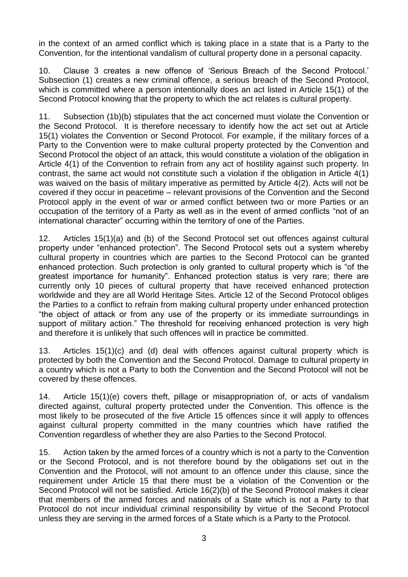in the context of an armed conflict which is taking place in a state that is a Party to the Convention, for the intentional vandalism of cultural property done in a personal capacity.

10. Clause 3 creates a new offence of 'Serious Breach of the Second Protocol.' Subsection (1) creates a new criminal offence, a serious breach of the Second Protocol, which is committed where a person intentionally does an act listed in Article 15(1) of the Second Protocol knowing that the property to which the act relates is cultural property.

11. Subsection (1b)(b) stipulates that the act concerned must violate the Convention or the Second Protocol. It is therefore necessary to identify how the act set out at Article 15(1) violates the Convention or Second Protocol. For example, if the military forces of a Party to the Convention were to make cultural property protected by the Convention and Second Protocol the object of an attack, this would constitute a violation of the obligation in Article 4(1) of the Convention to refrain from any act of hostility against such property. In contrast, the same act would not constitute such a violation if the obligation in Article 4(1) was waived on the basis of military imperative as permitted by Article 4(2). Acts will not be covered if they occur in peacetime – relevant provisions of the Convention and the Second Protocol apply in the event of war or armed conflict between two or more Parties or an occupation of the territory of a Party as well as in the event of armed conflicts "not of an international character" occurring within the territory of one of the Parties.

12. Articles 15(1)(a) and (b) of the Second Protocol set out offences against cultural property under "enhanced protection". The Second Protocol sets out a system whereby cultural property in countries which are parties to the Second Protocol can be granted enhanced protection. Such protection is only granted to cultural property which is "of the greatest importance for humanity". Enhanced protection status is very rare; there are currently only 10 pieces of cultural property that have received enhanced protection worldwide and they are all World Heritage Sites. Article 12 of the Second Protocol obliges the Parties to a conflict to refrain from making cultural property under enhanced protection "the object of attack or from any use of the property or its immediate surroundings in support of military action." The threshold for receiving enhanced protection is very high and therefore it is unlikely that such offences will in practice be committed.

13. Articles 15(1)(c) and (d) deal with offences against cultural property which is protected by both the Convention and the Second Protocol. Damage to cultural property in a country which is not a Party to both the Convention and the Second Protocol will not be covered by these offences.

14. Article 15(1)(e) covers theft, pillage or misappropriation of, or acts of vandalism directed against, cultural property protected under the Convention. This offence is the most likely to be prosecuted of the five Article 15 offences since it will apply to offences against cultural property committed in the many countries which have ratified the Convention regardless of whether they are also Parties to the Second Protocol.

15. Action taken by the armed forces of a country which is not a party to the Convention or the Second Protocol, and is not therefore bound by the obligations set out in the Convention and the Protocol, will not amount to an offence under this clause, since the requirement under Article 15 that there must be a violation of the Convention or the Second Protocol will not be satisfied. Article 16(2)(b) of the Second Protocol makes it clear that members of the armed forces and nationals of a State which is not a Party to that Protocol do not incur individual criminal responsibility by virtue of the Second Protocol unless they are serving in the armed forces of a State which is a Party to the Protocol.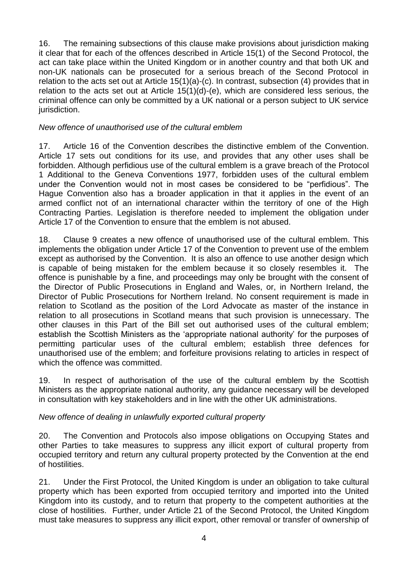16. The remaining subsections of this clause make provisions about jurisdiction making it clear that for each of the offences described in Article 15(1) of the Second Protocol, the act can take place within the United Kingdom or in another country and that both UK and non-UK nationals can be prosecuted for a serious breach of the Second Protocol in relation to the acts set out at Article 15(1)(a)-(c). In contrast, subsection (4) provides that in relation to the acts set out at Article 15(1)(d)-(e), which are considered less serious, the criminal offence can only be committed by a UK national or a person subject to UK service jurisdiction.

# *New offence of unauthorised use of the cultural emblem*

17. Article 16 of the Convention describes the distinctive emblem of the Convention. Article 17 sets out conditions for its use, and provides that any other uses shall be forbidden. Although perfidious use of the cultural emblem is a grave breach of the Protocol 1 Additional to the Geneva Conventions 1977, forbidden uses of the cultural emblem under the Convention would not in most cases be considered to be "perfidious". The Hague Convention also has a broader application in that it applies in the event of an armed conflict not of an international character within the territory of one of the High Contracting Parties. Legislation is therefore needed to implement the obligation under Article 17 of the Convention to ensure that the emblem is not abused.

18. Clause 9 creates a new offence of unauthorised use of the cultural emblem. This implements the obligation under Article 17 of the Convention to prevent use of the emblem except as authorised by the Convention. It is also an offence to use another design which is capable of being mistaken for the emblem because it so closely resembles it. The offence is punishable by a fine, and proceedings may only be brought with the consent of the Director of Public Prosecutions in England and Wales, or, in Northern Ireland, the Director of Public Prosecutions for Northern Ireland. No consent requirement is made in relation to Scotland as the position of the Lord Advocate as master of the instance in relation to all prosecutions in Scotland means that such provision is unnecessary. The other clauses in this Part of the Bill set out authorised uses of the cultural emblem; establish the Scottish Ministers as the 'appropriate national authority' for the purposes of permitting particular uses of the cultural emblem; establish three defences for unauthorised use of the emblem; and forfeiture provisions relating to articles in respect of which the offence was committed.

19. In respect of authorisation of the use of the cultural emblem by the Scottish Ministers as the appropriate national authority, any guidance necessary will be developed in consultation with key stakeholders and in line with the other UK administrations.

#### *New offence of dealing in unlawfully exported cultural property*

20. The Convention and Protocols also impose obligations on Occupying States and other Parties to take measures to suppress any illicit export of cultural property from occupied territory and return any cultural property protected by the Convention at the end of hostilities.

21. Under the First Protocol, the United Kingdom is under an obligation to take cultural property which has been exported from occupied territory and imported into the United Kingdom into its custody, and to return that property to the competent authorities at the close of hostilities. Further, under Article 21 of the Second Protocol, the United Kingdom must take measures to suppress any illicit export, other removal or transfer of ownership of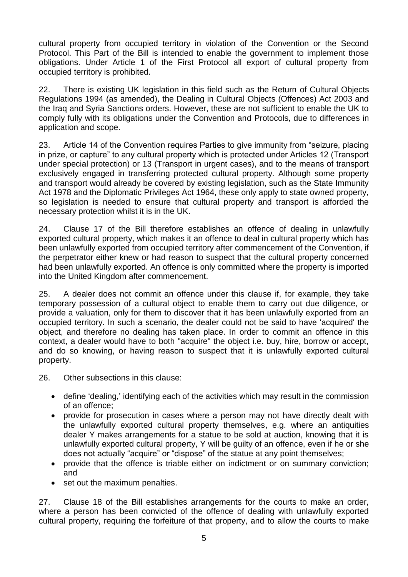cultural property from occupied territory in violation of the Convention or the Second Protocol. This Part of the Bill is intended to enable the government to implement those obligations. Under Article 1 of the First Protocol all export of cultural property from occupied territory is prohibited.

22. There is existing UK legislation in this field such as the Return of Cultural Objects Regulations 1994 (as amended), the Dealing in Cultural Objects (Offences) Act 2003 and the Iraq and Syria Sanctions orders. However, these are not sufficient to enable the UK to comply fully with its obligations under the Convention and Protocols, due to differences in application and scope.

23. Article 14 of the Convention requires Parties to give immunity from "seizure, placing in prize, or capture" to any cultural property which is protected under Articles 12 (Transport under special protection) or 13 (Transport in urgent cases), and to the means of transport exclusively engaged in transferring protected cultural property. Although some property and transport would already be covered by existing legislation, such as the State Immunity Act 1978 and the Diplomatic Privileges Act 1964, these only apply to state owned property, so legislation is needed to ensure that cultural property and transport is afforded the necessary protection whilst it is in the UK.

24. Clause 17 of the Bill therefore establishes an offence of dealing in unlawfully exported cultural property, which makes it an offence to deal in cultural property which has been unlawfully exported from occupied territory after commencement of the Convention, if the perpetrator either knew or had reason to suspect that the cultural property concerned had been unlawfully exported. An offence is only committed where the property is imported into the United Kingdom after commencement.

25. A dealer does not commit an offence under this clause if, for example, they take temporary possession of a cultural object to enable them to carry out due diligence, or provide a valuation, only for them to discover that it has been unlawfully exported from an occupied territory. In such a scenario, the dealer could not be said to have 'acquired' the object, and therefore no dealing has taken place. In order to commit an offence in this context, a dealer would have to both "acquire" the object i.e. buy, hire, borrow or accept, and do so knowing, or having reason to suspect that it is unlawfully exported cultural property.

26. Other subsections in this clause:

- define 'dealing,' identifying each of the activities which may result in the commission of an offence;
- provide for prosecution in cases where a person may not have directly dealt with the unlawfully exported cultural property themselves, e.g. where an antiquities dealer Y makes arrangements for a statue to be sold at auction, knowing that it is unlawfully exported cultural property, Y will be guilty of an offence, even if he or she does not actually "acquire" or "dispose" of the statue at any point themselves;
- provide that the offence is triable either on indictment or on summary conviction; and
- set out the maximum penalties.

27. Clause 18 of the Bill establishes arrangements for the courts to make an order, where a person has been convicted of the offence of dealing with unlawfully exported cultural property, requiring the forfeiture of that property, and to allow the courts to make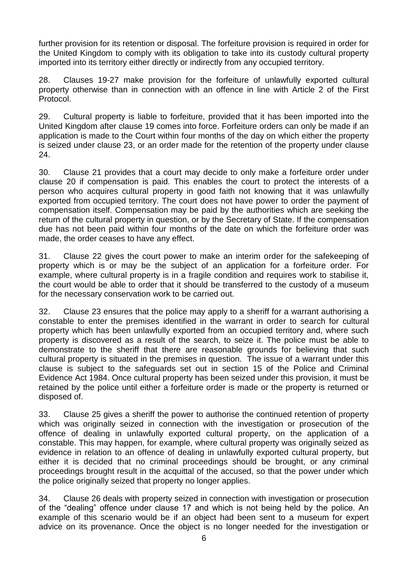further provision for its retention or disposal. The forfeiture provision is required in order for the United Kingdom to comply with its obligation to take into its custody cultural property imported into its territory either directly or indirectly from any occupied territory.

28. Clauses 19-27 make provision for the forfeiture of unlawfully exported cultural property otherwise than in connection with an offence in line with Article 2 of the First Protocol.

29. Cultural property is liable to forfeiture, provided that it has been imported into the United Kingdom after clause 19 comes into force. Forfeiture orders can only be made if an application is made to the Court within four months of the day on which either the property is seized under clause 23, or an order made for the retention of the property under clause 24.

30. Clause 21 provides that a court may decide to only make a forfeiture order under clause 20 if compensation is paid. This enables the court to protect the interests of a person who acquires cultural property in good faith not knowing that it was unlawfully exported from occupied territory. The court does not have power to order the payment of compensation itself. Compensation may be paid by the authorities which are seeking the return of the cultural property in question, or by the Secretary of State. If the compensation due has not been paid within four months of the date on which the forfeiture order was made, the order ceases to have any effect.

31. Clause 22 gives the court power to make an interim order for the safekeeping of property which is or may be the subject of an application for a forfeiture order. For example, where cultural property is in a fragile condition and requires work to stabilise it, the court would be able to order that it should be transferred to the custody of a museum for the necessary conservation work to be carried out.

32. Clause 23 ensures that the police may apply to a sheriff for a warrant authorising a constable to enter the premises identified in the warrant in order to search for cultural property which has been unlawfully exported from an occupied territory and, where such property is discovered as a result of the search, to seize it. The police must be able to demonstrate to the sheriff that there are reasonable grounds for believing that such cultural property is situated in the premises in question. The issue of a warrant under this clause is subject to the safeguards set out in section 15 of the Police and Criminal Evidence Act 1984. Once cultural property has been seized under this provision, it must be retained by the police until either a forfeiture order is made or the property is returned or disposed of.

33. Clause 25 gives a sheriff the power to authorise the continued retention of property which was originally seized in connection with the investigation or prosecution of the offence of dealing in unlawfully exported cultural property, on the application of a constable. This may happen, for example, where cultural property was originally seized as evidence in relation to an offence of dealing in unlawfully exported cultural property, but either it is decided that no criminal proceedings should be brought, or any criminal proceedings brought result in the acquittal of the accused, so that the power under which the police originally seized that property no longer applies.

34. Clause 26 deals with property seized in connection with investigation or prosecution of the "dealing" offence under clause 17 and which is not being held by the police. An example of this scenario would be if an object had been sent to a museum for expert advice on its provenance. Once the object is no longer needed for the investigation or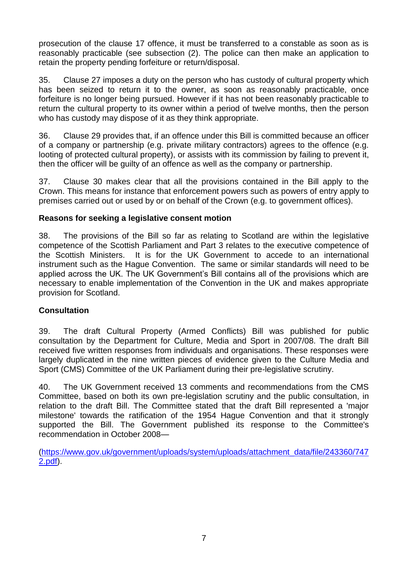prosecution of the clause 17 offence, it must be transferred to a constable as soon as is reasonably practicable (see subsection (2). The police can then make an application to retain the property pending forfeiture or return/disposal.

35. Clause 27 imposes a duty on the person who has custody of cultural property which has been seized to return it to the owner, as soon as reasonably practicable, once forfeiture is no longer being pursued. However if it has not been reasonably practicable to return the cultural property to its owner within a period of twelve months, then the person who has custody may dispose of it as they think appropriate.

36. Clause 29 provides that, if an offence under this Bill is committed because an officer of a company or partnership (e.g. private military contractors) agrees to the offence (e.g. looting of protected cultural property), or assists with its commission by failing to prevent it, then the officer will be guilty of an offence as well as the company or partnership.

37. Clause 30 makes clear that all the provisions contained in the Bill apply to the Crown. This means for instance that enforcement powers such as powers of entry apply to premises carried out or used by or on behalf of the Crown (e.g. to government offices).

# **Reasons for seeking a legislative consent motion**

38. The provisions of the Bill so far as relating to Scotland are within the legislative competence of the Scottish Parliament and Part 3 relates to the executive competence of the Scottish Ministers. It is for the UK Government to accede to an international instrument such as the Hague Convention. The same or similar standards will need to be applied across the UK. The UK Government's Bill contains all of the provisions which are necessary to enable implementation of the Convention in the UK and makes appropriate provision for Scotland.

#### **Consultation**

39. The draft Cultural Property (Armed Conflicts) Bill was published for public consultation by the Department for Culture, Media and Sport in 2007/08. The draft Bill received five written responses from individuals and organisations. These responses were largely duplicated in the nine written pieces of evidence given to the Culture Media and Sport (CMS) Committee of the UK Parliament during their pre-legislative scrutiny.

40. The UK Government received 13 comments and recommendations from the CMS Committee, based on both its own pre-legislation scrutiny and the public consultation, in relation to the draft Bill. The Committee stated that the draft Bill represented a 'major milestone' towards the ratification of the 1954 Hague Convention and that it strongly supported the Bill. The Government published its response to the Committee's recommendation in October 2008—

[\(https://www.gov.uk/government/uploads/system/uploads/attachment\\_data/file/243360/747](https://www.gov.uk/government/uploads/system/uploads/attachment_data/file/243360/7472.pdf) [2.pdf\)](https://www.gov.uk/government/uploads/system/uploads/attachment_data/file/243360/7472.pdf).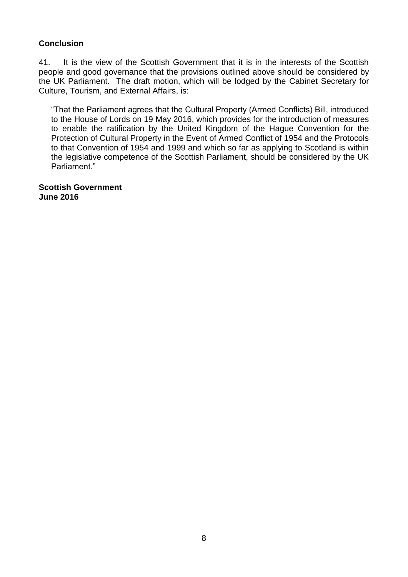# **Conclusion**

41. It is the view of the Scottish Government that it is in the interests of the Scottish people and good governance that the provisions outlined above should be considered by the UK Parliament. The draft motion, which will be lodged by the Cabinet Secretary for Culture, Tourism, and External Affairs, is:

―That the Parliament agrees that the Cultural Property (Armed Conflicts) Bill, introduced to the House of Lords on 19 May 2016, which provides for the introduction of measures to enable the ratification by the United Kingdom of the Hague Convention for the Protection of Cultural Property in the Event of Armed Conflict of 1954 and the Protocols to that Convention of 1954 and 1999 and which so far as applying to Scotland is within the legislative competence of the Scottish Parliament, should be considered by the UK Parliament."

**Scottish Government June 2016**